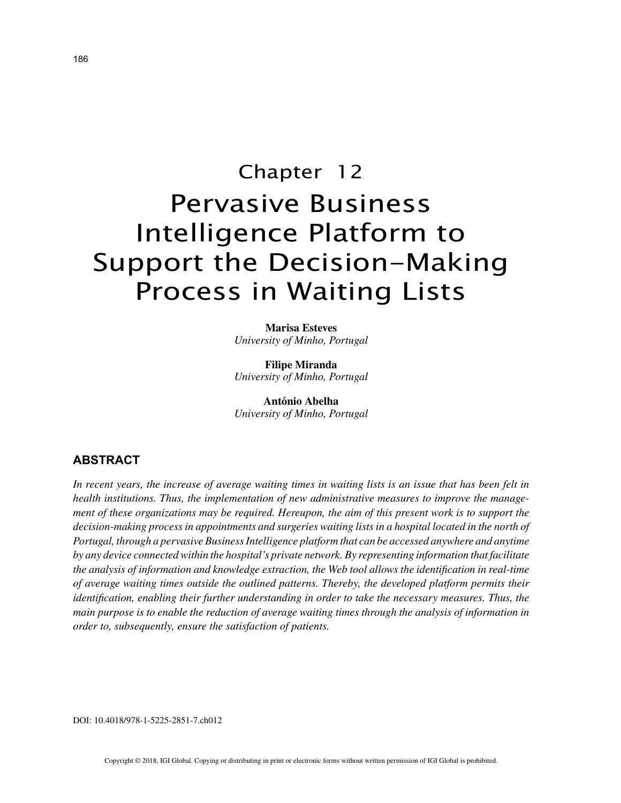# Chapter 12 Pervasive Business Intelligence Platform to Support the Decision-Making Process in Waiting Lists

**Marisa Esteves** *University of Minho, Portugal*

**Filipe Miranda** *University of Minho, Portugal*

**António Abelha** *University of Minho, Portugal*

## **ABSTRACT**

*In recent years, the increase of average waiting times in waiting lists is an issue that has been felt in health institutions. Thus, the implementation of new administrative measures to improve the management of these organizations may be required. Hereupon, the aim of this present work is to support the decision-making process in appointments and surgeries waiting lists in a hospital located in the north of Portugal, through a pervasive Business Intelligence platform that can be accessed anywhere and anytime by any device connected within the hospital's private network. By representing information that facilitate the analysis of information and knowledge extraction, the Web tool allows the identification in real-time of average waiting times outside the outlined patterns. Thereby, the developed platform permits their identification, enabling their further understanding in order to take the necessary measures. Thus, the main purpose is to enable the reduction of average waiting times through the analysis of information in order to, subsequently, ensure the satisfaction of patients.*

DOI: 10.4018/978-1-5225-2851-7.ch012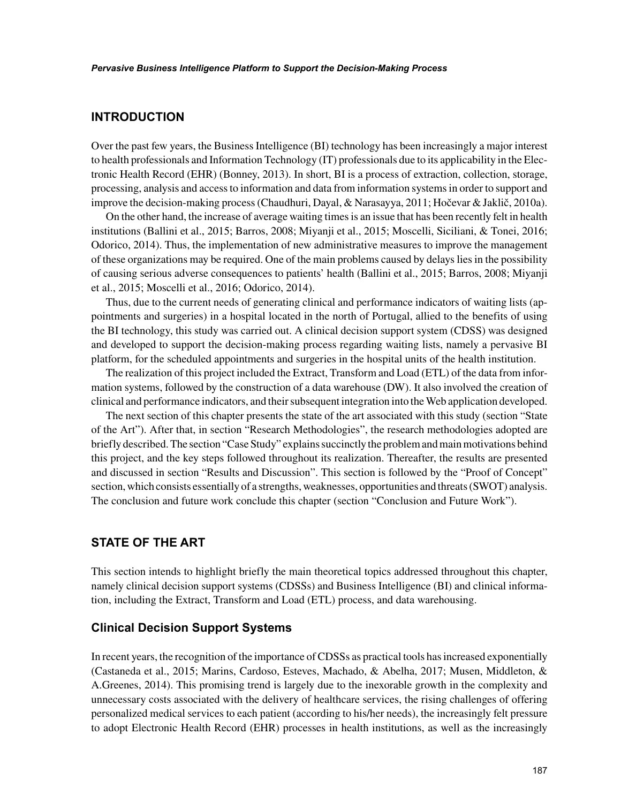# **INTRODUCTION**

Over the past few years, the Business Intelligence (BI) technology has been increasingly a major interest to health professionals and Information Technology (IT) professionals due to its applicability in the Electronic Health Record (EHR) (Bonney, 2013). In short, BI is a process of extraction, collection, storage, processing, analysis and access to information and data from information systems in order to support and improve the decision-making process (Chaudhuri, Dayal, & Narasayya, 2011; Hočevar & Jaklič, 2010a).

On the other hand, the increase of average waiting times is an issue that has been recently felt in health institutions (Ballini et al., 2015; Barros, 2008; Miyanji et al., 2015; Moscelli, Siciliani, & Tonei, 2016; Odorico, 2014). Thus, the implementation of new administrative measures to improve the management of these organizations may be required. One of the main problems caused by delays lies in the possibility of causing serious adverse consequences to patients' health (Ballini et al., 2015; Barros, 2008; Miyanji et al., 2015; Moscelli et al., 2016; Odorico, 2014).

Thus, due to the current needs of generating clinical and performance indicators of waiting lists (appointments and surgeries) in a hospital located in the north of Portugal, allied to the benefits of using the BI technology, this study was carried out. A clinical decision support system (CDSS) was designed and developed to support the decision-making process regarding waiting lists, namely a pervasive BI platform, for the scheduled appointments and surgeries in the hospital units of the health institution.

The realization of this project included the Extract, Transform and Load (ETL) of the data from information systems, followed by the construction of a data warehouse (DW). It also involved the creation of clinical and performance indicators, and their subsequent integration into the Web application developed.

The next section of this chapter presents the state of the art associated with this study (section "State of the Art"). After that, in section "Research Methodologies", the research methodologies adopted are briefly described. The section "Case Study" explains succinctly the problem and main motivations behind this project, and the key steps followed throughout its realization. Thereafter, the results are presented and discussed in section "Results and Discussion". This section is followed by the "Proof of Concept" section, which consists essentially of a strengths, weaknesses, opportunities and threats (SWOT) analysis. The conclusion and future work conclude this chapter (section "Conclusion and Future Work").

# **STATE OF THE ART**

This section intends to highlight briefly the main theoretical topics addressed throughout this chapter, namely clinical decision support systems (CDSSs) and Business Intelligence (BI) and clinical information, including the Extract, Transform and Load (ETL) process, and data warehousing.

## **Clinical Decision Support Systems**

In recent years, the recognition of the importance of CDSSs as practical tools has increased exponentially (Castaneda et al., 2015; Marins, Cardoso, Esteves, Machado, & Abelha, 2017; Musen, Middleton, & A.Greenes, 2014). This promising trend is largely due to the inexorable growth in the complexity and unnecessary costs associated with the delivery of healthcare services, the rising challenges of offering personalized medical services to each patient (according to his/her needs), the increasingly felt pressure to adopt Electronic Health Record (EHR) processes in health institutions, as well as the increasingly